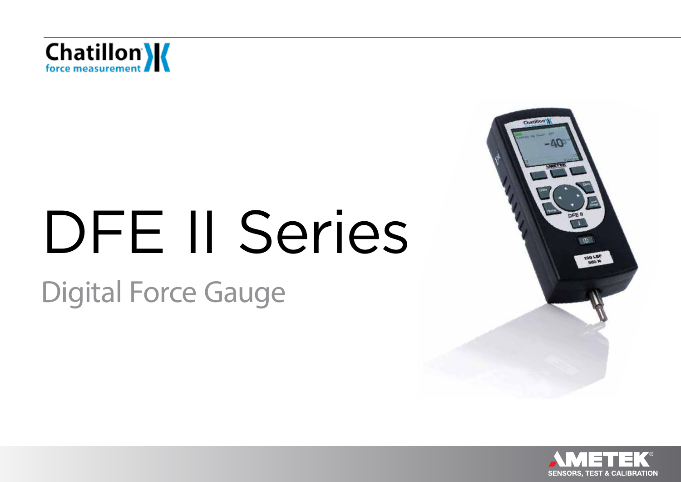

# DFE II Series Digital Force Gauge

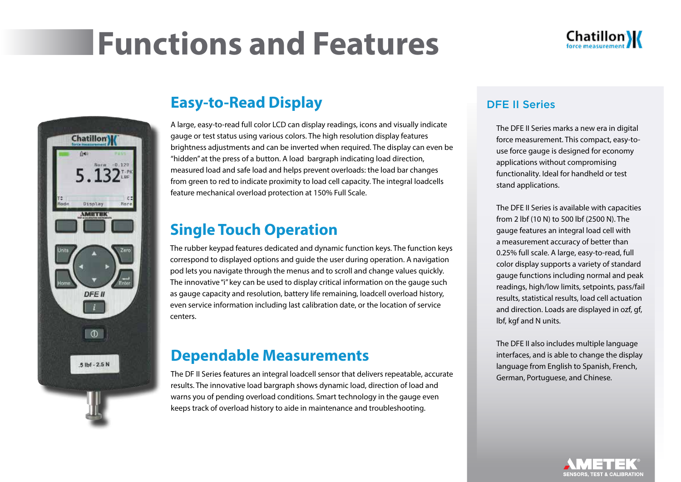### **Functions and Features**





### **Easy-to-Read Display**

A large, easy-to-read full color LCD can display readings, icons and visually indicate gauge or test status using various colors. The high resolution display features brightness adjustments and can be inverted when required. The display can even be "hidden" at the press of a button. A load bargraph indicating load direction, measured load and safe load and helps prevent overloads: the load bar changes from green to red to indicate proximity to load cell capacity. The integral loadcells feature mechanical overload protection at 150% Full Scale.

#### **Single Touch Operation**

The rubber keypad features dedicated and dynamic function keys. The function keys correspond to displayed options and guide the user during operation. A navigation pod lets you navigate through the menus and to scroll and change values quickly. The innovative "i" key can be used to display critical information on the gauge such as gauge capacity and resolution, battery life remaining, loadcell overload history, even service information including last calibration date, or the location of service centers.

#### **Dependable Measurements**

The DF II Series features an integral loadcell sensor that delivers repeatable, accurate results. The innovative load bargraph shows dynamic load, direction of load and warns you of pending overload conditions. Smart technology in the gauge even keeps track of overload history to aide in maintenance and troubleshooting.

#### DFE II Series

The DFE II Series marks a new era in digital force measurement. This compact, easy-touse force gauge is designed for economy applications without compromising functionality. Ideal for handheld or test stand applications.

The DFE II Series is available with capacities from 2 lbf (10 N) to 500 lbf (2500 N). The gauge features an integral load cell with a measurement accuracy of better than 0.25% full scale. A large, easy-to-read, full color display supports a variety of standard gauge functions including normal and peak readings, high/low limits, setpoints, pass/fail results, statistical results, load cell actuation and direction. Loads are displayed in ozf, gf, lbf, kgf and N units.

The DFE II also includes multiple language interfaces, and is able to change the display language from English to Spanish, French, German, Portuguese, and Chinese.

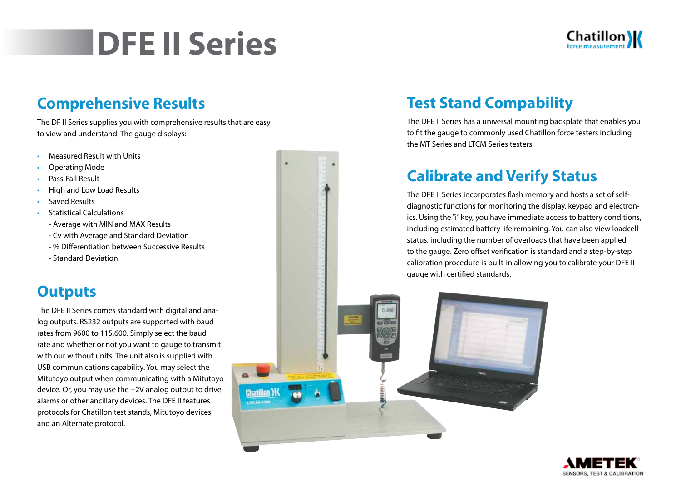### **DFE II Series**

### **Comprehensive Results**

The DF II Series supplies you with comprehensive results that are easy to view and understand. The gauge displays:

- Measured Result with Units
- Operating Mode
- Pass-Fail Result
- High and Low Load Results
- Saved Results
- Statistical Calculations
	- Average with MIN and MAX Results
	- Cv with Average and Standard Deviation
	- % Differentiation between Successive Results
	- Standard Deviation

### **Outputs**

The DFE II Series comes standard with digital and analog outputs. RS232 outputs are supported with baud rates from 9600 to 115,600. Simply select the baud rate and whether or not you want to gauge to transmit with our without units. The unit also is supplied with USB communications capability. You may select the Mitutoyo output when communicating with a Mitutoyo device. Or, you may use the +2V analog output to drive alarms or other ancillary devices. The DFE II features protocols for Chatillon test stands, Mitutoyo devices and an Alternate protocol.

### **Test Stand Compability**

The DFE II Series has a universal mounting backplate that enables you to fit the gauge to commonly used Chatillon force testers including the MT Series and LTCM Series testers.

### **Calibrate and Verify Status**

**HUUUU)-**

The DFE II Series incorporates flash memory and hosts a set of selfdiagnostic functions for monitoring the display, keypad and electronics. Using the "i" key, you have immediate access to battery conditions, including estimated battery life remaining. You can also view loadcell status, including the number of overloads that have been applied to the gauge. Zero offset verification is standard and a step-by-step calibration procedure is built-in allowing you to calibrate your DFE II gauge with certified standards.

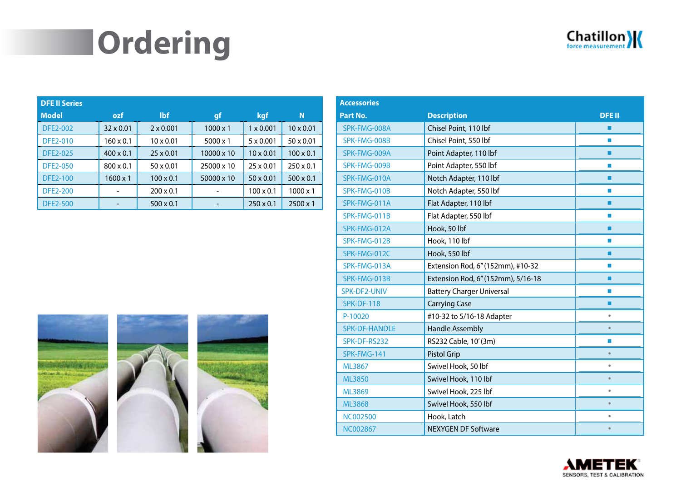## **Ordering**

| Chatillon |  |
|-----------|--|
|           |  |

| <b>DFE II Series</b> |                  |                  |                 |                  |                  |
|----------------------|------------------|------------------|-----------------|------------------|------------------|
| <b>Model</b>         | ozf              | <b>Ibf</b>       | gf              | <b>kgf</b>       | N                |
| <b>DFE2-002</b>      | $32 \times 0.01$ | $2 \times 0.001$ | $1000 \times 1$ | $1 \times 0.001$ | $10 \times 0.01$ |
| <b>DFE2-010</b>      | $160 \times 0.1$ | $10 \times 0.01$ | $5000 \times 1$ | $5 \times 0.001$ | $50 \times 0.01$ |
| <b>DFE2-025</b>      | $400 \times 0.1$ | $25 \times 0.01$ | 10000 x 10      | $10 \times 0.01$ | $100 \times 0.1$ |
| <b>DFE2-050</b>      | $800 \times 0.1$ | $50 \times 0.01$ | 25000 x 10      | $25 \times 0.01$ | $250 \times 0.1$ |
| <b>DFE2-100</b>      | $1600 \times 1$  | $100 \times 0.1$ | 50000 x 10      | $50 \times 0.01$ | $500 \times 0.1$ |
| <b>DFE2-200</b>      |                  | $200 \times 0.1$ |                 | $100 \times 0.1$ | $1000 \times 1$  |
| <b>DFE2-500</b>      |                  | $500 \times 0.1$ |                 | $250 \times 0.1$ | $2500 \times 1$  |



| <b>Accessories</b>   |                                    |              |
|----------------------|------------------------------------|--------------|
| Part No.             | <b>Description</b>                 | <b>DFEII</b> |
| SPK-FMG-008A         | Chisel Point, 110 lbf              | ٠            |
| SPK-FMG-008B         | Chisel Point, 550 lbf              | <b>In</b>    |
| SPK-FMG-009A         | Point Adapter, 110 lbf             | п            |
| SPK-FMG-009B         | Point Adapter, 550 lbf             | П            |
| SPK-FMG-010A         | Notch Adapter, 110 lbf             | ٠            |
| SPK-FMG-010B         | Notch Adapter, 550 lbf             | П            |
| SPK-FMG-011A         | Flat Adapter, 110 lbf              | ٠            |
| SPK-FMG-011B         | Flat Adapter, 550 lbf              | П            |
| SPK-FMG-012A         | Hook, 50 lbf                       | п            |
| SPK-FMG-012B         | Hook, 110 lbf                      | П            |
| SPK-FMG-012C         | Hook, 550 lbf                      | ٠            |
| SPK-FMG-013A         | Extension Rod, 6" (152mm), #10-32  | П            |
| SPK-FMG-013B         | Extension Rod, 6" (152mm), 5/16-18 | п            |
| SPK-DF2-UNIV         | <b>Battery Charger Universal</b>   | П            |
| <b>SPK-DF-118</b>    | <b>Carrying Case</b>               | п            |
| P-10020              | #10-32 to 5/16-18 Adapter          | $\bullet$    |
| <b>SPK-DF-HANDLE</b> | <b>Handle Assembly</b>             | $\bullet$    |
| SPK-DF-RS232         | RS232 Cable, 10' (3m)              | П            |
| SPK-FMG-141          | <b>Pistol Grip</b>                 | $\bullet$    |
| ML3867               | Swivel Hook, 50 lbf                | $\bullet$    |
| <b>ML3850</b>        | Swivel Hook, 110 lbf               | $\bullet$    |
| ML3869               | Swivel Hook, 225 lbf               | $\bullet$    |
| <b>ML3868</b>        | Swivel Hook, 550 lbf               | $\bullet$    |
| <b>NC002500</b>      | Hook, Latch                        | $\bullet$    |
| <b>NC002867</b>      | <b>NEXYGEN DF Software</b>         | $\bullet$    |